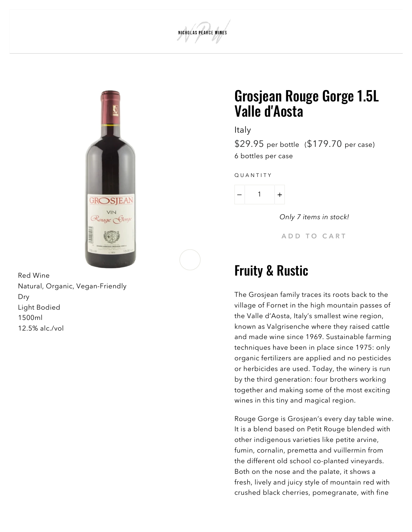



Red Wine Natural, Organic, Vegan-Friendly Dry Light Bodied 1500ml 12.5% alc./vol

## Grosjean Rouge Gorge 1.5L Valle d'Aosta

Italy

\$29.95 per bottle (\$179.70 per case) 6 bottles per case

Q U A N T I T Y



Only 7 items in stock!

A D D T O CART

## Fruity & Rustic

The Grosjean family traces its roots back to the village of Fornet in the high mountain passes of the Valle d'Aosta, Italy's smallest wine region, known as Valgrisenche where they raised cattle and made wine since 1969. Sustainable farming techniques have been in place since 1975: only organic fertilizers are applied and no pesticides or herbicides are used. Today, the winery is run by the third generation: four brothers working together and making some of the most exciting wines in this tiny and magical region.

Rouge Gorge is Grosjean's every day table wine. It is a blend based on Petit Rouge blended with other indigenous varieties like petite arvine, fumin, cornalin, premetta and vuillermin from the different old school co-planted vineyards. Both on the nose and the palate, it shows a fresh, lively and juicy style of mountain red with crushed black cherries, pomegranate, with fine